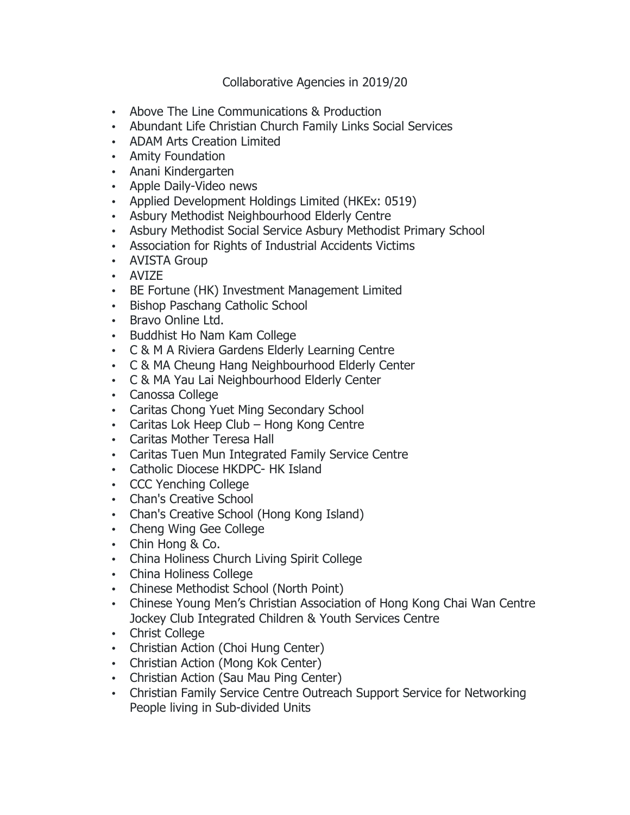Collaborative Agencies in 2019/20

- Above The Line Communications & Production
- Abundant Life Christian Church Family Links Social Services
- ADAM Arts Creation Limited
- Amity Foundation
- Anani Kindergarten
- Apple Daily-Video news
- Applied Development Holdings Limited (HKEx: 0519)
- Asbury Methodist Neighbourhood Elderly Centre
- Asbury Methodist Social Service Asbury Methodist Primary School
- Association for Rights of Industrial Accidents Victims
- AVISTA Group
- AVIZE
- BE Fortune (HK) Investment Management Limited
- Bishop Paschang Catholic School
- Bravo Online Ltd.
- Buddhist Ho Nam Kam College
- C & M A Riviera Gardens Elderly Learning Centre
- C & MA Cheung Hang Neighbourhood Elderly Center
- C & MA Yau Lai Neighbourhood Elderly Center
- Canossa College
- Caritas Chong Yuet Ming Secondary School
- Caritas Lok Heep Club Hong Kong Centre
- Caritas Mother Teresa Hall
- Caritas Tuen Mun Integrated Family Service Centre
- Catholic Diocese HKDPC- HK Island
- CCC Yenching College
- Chan's Creative School
- Chan's Creative School (Hong Kong Island)
- Cheng Wing Gee College
- Chin Hong & Co.
- China Holiness Church Living Spirit College
- China Holiness College
- Chinese Methodist School (North Point)
- Chinese Young Men's Christian Association of Hong Kong Chai Wan Centre Jockey Club Integrated Children & Youth Services Centre
- Christ College
- Christian Action (Choi Hung Center)
- Christian Action (Mong Kok Center)
- Christian Action (Sau Mau Ping Center)
- Christian Family Service Centre Outreach Support Service for Networking People living in Sub-divided Units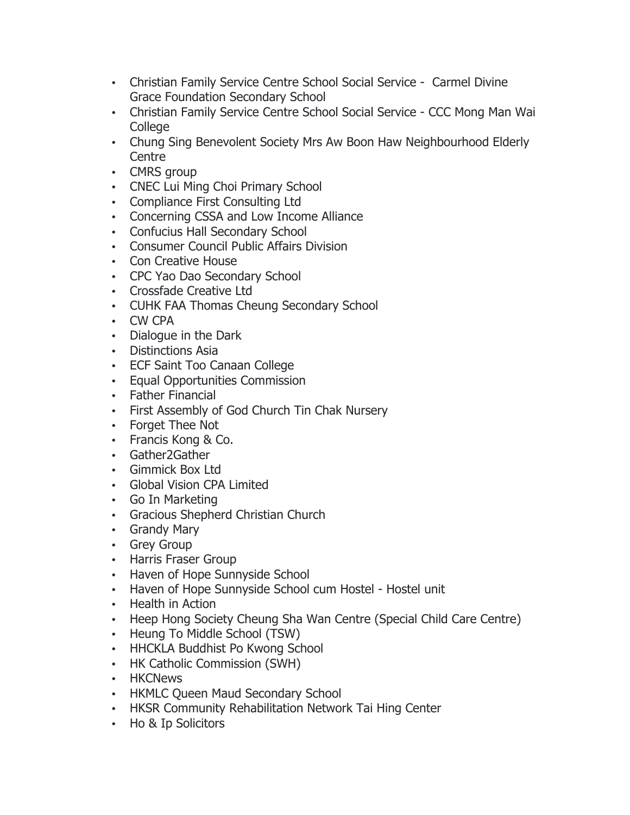- Christian Family Service Centre School Social Service Carmel Divine Grace Foundation Secondary School
- Christian Family Service Centre School Social Service CCC Mong Man Wai **College**
- Chung Sing Benevolent Society Mrs Aw Boon Haw Neighbourhood Elderly **Centre**
- CMRS group
- CNEC Lui Ming Choi Primary School
- Compliance First Consulting Ltd
- Concerning CSSA and Low Income Alliance
- Confucius Hall Secondary School
- Consumer Council Public Affairs Division
- Con Creative House
- CPC Yao Dao Secondary School
- Crossfade Creative Ltd
- CUHK FAA Thomas Cheung Secondary School
- CW CPA
- Dialogue in the Dark
- Distinctions Asia
- ECF Saint Too Canaan College
- Equal Opportunities Commission
- Father Financial
- First Assembly of God Church Tin Chak Nursery
- Forget Thee Not
- Francis Kong & Co.
- Gather2Gather
- Gimmick Box Ltd
- Global Vision CPA Limited
- Go In Marketing
- Gracious Shepherd Christian Church
- Grandy Mary
- Grey Group
- Harris Fraser Group
- Haven of Hope Sunnyside School
- Haven of Hope Sunnyside School cum Hostel Hostel unit
- Health in Action
- Heep Hong Society Cheung Sha Wan Centre (Special Child Care Centre)
- Heung To Middle School (TSW)
- HHCKLA Buddhist Po Kwong School
- HK Catholic Commission (SWH)
- HKCNews
- HKMLC Queen Maud Secondary School
- HKSR Community Rehabilitation Network Tai Hing Center
- Ho & Ip Solicitors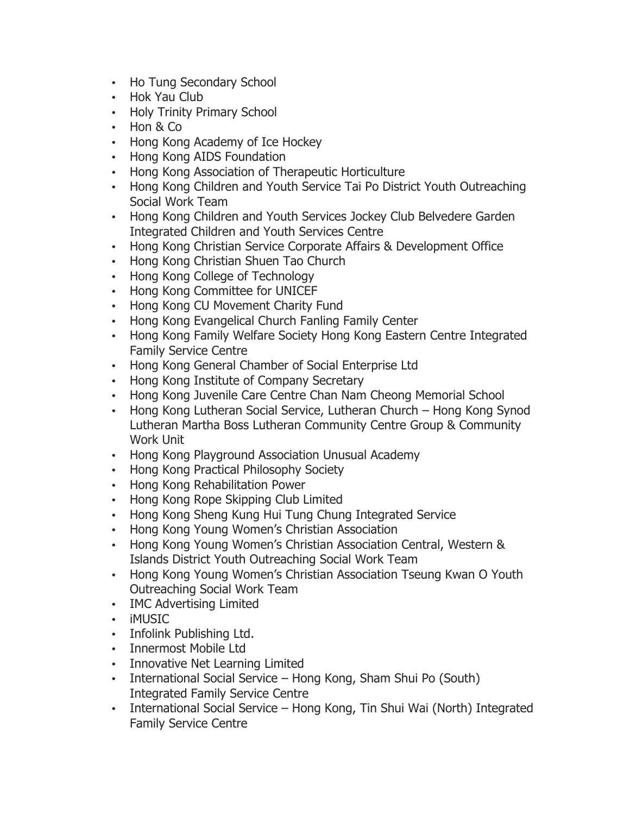- Ho Tung Secondary School
- Hok Yau Club
- Holy Trinity Primary School
- Hon & Co
- Hong Kong Academy of Ice Hockey
- Hong Kong AIDS Foundation
- Hong Kong Association of Therapeutic Horticulture
- Hong Kong Children and Youth Service Tai Po District Youth Outreaching Social Work Team
- Hong Kong Children and Youth Services Jockey Club Belvedere Garden Integrated Children and Youth Services Centre
- Hong Kong Christian Service Corporate Affairs & Development Office
- Hong Kong Christian Shuen Tao Church
- Hong Kong College of Technology
- Hong Kong Committee for UNICEF
- Hong Kong CU Movement Charity Fund
- Hong Kong Evangelical Church Fanling Family Center
- Hong Kong Family Welfare Society Hong Kong Eastern Centre Integrated Family Service Centre
- Hong Kong General Chamber of Social Enterprise Ltd
- Hong Kong Institute of Company Secretary
- Hong Kong Juvenile Care Centre Chan Nam Cheong Memorial School
- Hong Kong Lutheran Social Service, Lutheran Church Hong Kong Synod Lutheran Martha Boss Lutheran Community Centre Group & Community Work Unit
- Hong Kong Playground Association Unusual Academy
- Hong Kong Practical Philosophy Society
- Hong Kong Rehabilitation Power
- Hong Kong Rope Skipping Club Limited
- Hong Kong Sheng Kung Hui Tung Chung Integrated Service
- Hong Kong Young Women's Christian Association
- Hong Kong Young Women's Christian Association Central, Western & Islands District Youth Outreaching Social Work Team
- Hong Kong Young Women's Christian Association Tseung Kwan O Youth Outreaching Social Work Team
- IMC Advertising Limited
- iMUSIC
- Infolink Publishing Ltd.
- Innermost Mobile Ltd
- Innovative Net Learning Limited
- International Social Service Hong Kong, Sham Shui Po (South) Integrated Family Service Centre
- International Social Service Hong Kong, Tin Shui Wai (North) Integrated Family Service Centre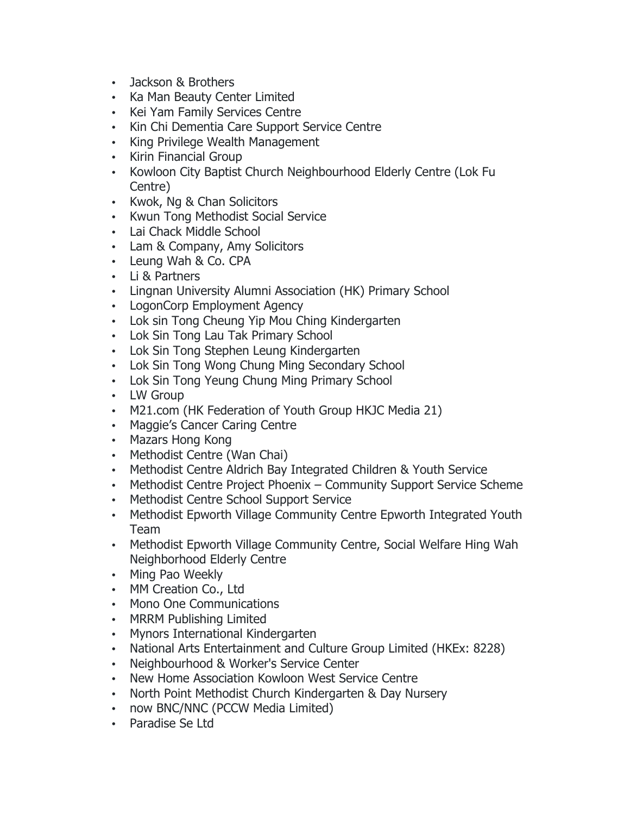- Jackson & Brothers
- Ka Man Beauty Center Limited
- Kei Yam Family Services Centre
- Kin Chi Dementia Care Support Service Centre
- King Privilege Wealth Management
- Kirin Financial Group
- Kowloon City Baptist Church Neighbourhood Elderly Centre (Lok Fu Centre)
- Kwok, Ng & Chan Solicitors
- Kwun Tong Methodist Social Service
- Lai Chack Middle School
- Lam & Company, Amy Solicitors
- Leung Wah & Co. CPA
- Li & Partners
- Lingnan University Alumni Association (HK) Primary School
- LogonCorp Employment Agency
- Lok sin Tong Cheung Yip Mou Ching Kindergarten
- Lok Sin Tong Lau Tak Primary School
- Lok Sin Tong Stephen Leung Kindergarten
- Lok Sin Tong Wong Chung Ming Secondary School
- Lok Sin Tong Yeung Chung Ming Primary School
- LW Group
- M21.com (HK Federation of Youth Group HKJC Media 21)
- Maggie's Cancer Caring Centre
- Mazars Hong Kong
- Methodist Centre (Wan Chai)
- Methodist Centre Aldrich Bay Integrated Children & Youth Service
- Methodist Centre Project Phoenix Community Support Service Scheme
- Methodist Centre School Support Service
- Methodist Epworth Village Community Centre Epworth Integrated Youth Team
- Methodist Epworth Village Community Centre, Social Welfare Hing Wah Neighborhood Elderly Centre
- Ming Pao Weekly
- MM Creation Co., Ltd
- Mono One Communications
- MRRM Publishing Limited
- Mynors International Kindergarten
- National Arts Entertainment and Culture Group Limited (HKEx: 8228)
- Neighbourhood & Worker's Service Center
- New Home Association Kowloon West Service Centre
- North Point Methodist Church Kindergarten & Day Nursery
- now BNC/NNC (PCCW Media Limited)
- Paradise Se Ltd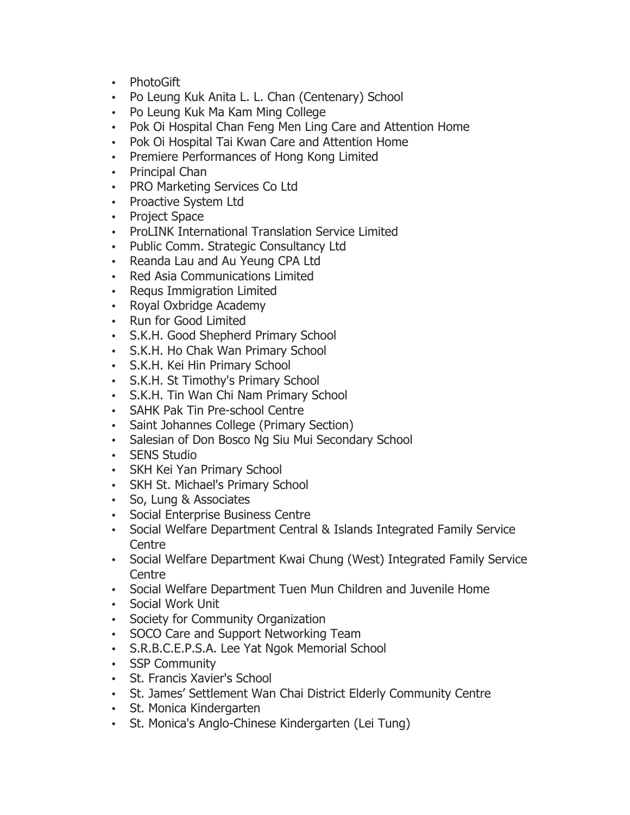- PhotoGift
- Po Leung Kuk Anita L. L. Chan (Centenary) School
- Po Leung Kuk Ma Kam Ming College
- Pok Oi Hospital Chan Feng Men Ling Care and Attention Home
- Pok Oi Hospital Tai Kwan Care and Attention Home
- Premiere Performances of Hong Kong Limited
- Principal Chan
- PRO Marketing Services Co Ltd
- Proactive System Ltd
- Project Space
- ProLINK International Translation Service Limited
- Public Comm. Strategic Consultancy Ltd
- Reanda Lau and Au Yeung CPA Ltd
- Red Asia Communications Limited
- Requs Immigration Limited
- Royal Oxbridge Academy
- Run for Good Limited
- S.K.H. Good Shepherd Primary School
- S.K.H. Ho Chak Wan Primary School
- S.K.H. Kei Hin Primary School
- S.K.H. St Timothy's Primary School
- S.K.H. Tin Wan Chi Nam Primary School
- SAHK Pak Tin Pre-school Centre
- Saint Johannes College (Primary Section)
- Salesian of Don Bosco Ng Siu Mui Secondary School
- SENS Studio
- SKH Kei Yan Primary School
- SKH St. Michael's Primary School
- So, Lung & Associates
- Social Enterprise Business Centre
- Social Welfare Department Central & Islands Integrated Family Service **Centre**
- Social Welfare Department Kwai Chung (West) Integrated Family Service **Centre**
- Social Welfare Department Tuen Mun Children and Juvenile Home
- Social Work Unit
- Society for Community Organization
- SOCO Care and Support Networking Team
- S.R.B.C.E.P.S.A. Lee Yat Ngok Memorial School
- SSP Community
- St. Francis Xavier's School
- St. James' Settlement Wan Chai District Elderly Community Centre
- St. Monica Kindergarten
- St. Monica's Anglo-Chinese Kindergarten (Lei Tung)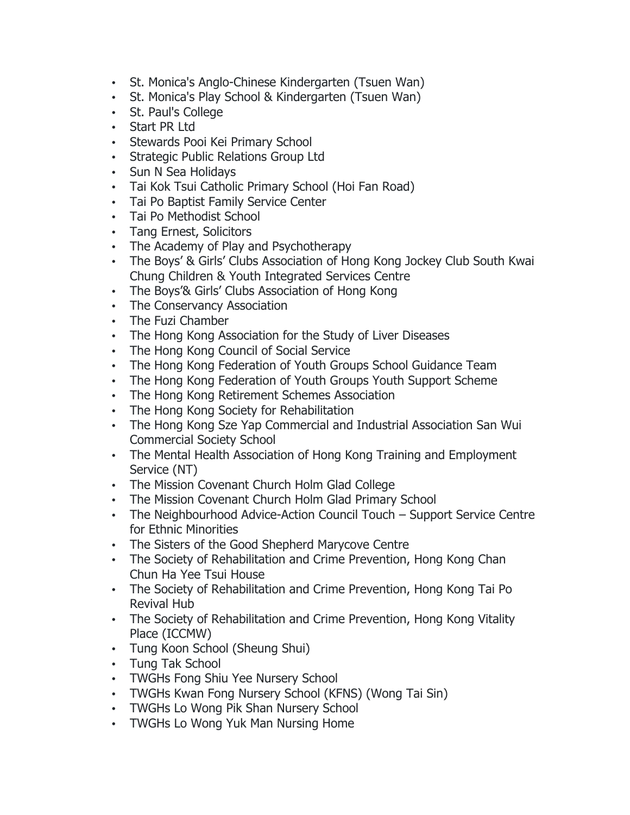- St. Monica's Anglo-Chinese Kindergarten (Tsuen Wan)
- St. Monica's Play School & Kindergarten (Tsuen Wan)
- St. Paul's College
- Start PR Ltd
- Stewards Pooi Kei Primary School
- Strategic Public Relations Group Ltd
- Sun N Sea Holidays
- Tai Kok Tsui Catholic Primary School (Hoi Fan Road)
- Tai Po Baptist Family Service Center
- Tai Po Methodist School
- Tang Ernest, Solicitors
- The Academy of Play and Psychotherapy
- The Boys' & Girls' Clubs Association of Hong Kong Jockey Club South Kwai Chung Children & Youth Integrated Services Centre
- The Boys'& Girls' Clubs Association of Hong Kong
- The Conservancy Association
- The Fuzi Chamber
- The Hong Kong Association for the Study of Liver Diseases
- The Hong Kong Council of Social Service
- The Hong Kong Federation of Youth Groups School Guidance Team
- The Hong Kong Federation of Youth Groups Youth Support Scheme
- The Hong Kong Retirement Schemes Association
- The Hong Kong Society for Rehabilitation
- The Hong Kong Sze Yap Commercial and Industrial Association San Wui Commercial Society School
- The Mental Health Association of Hong Kong Training and Employment Service (NT)
- The Mission Covenant Church Holm Glad College
- The Mission Covenant Church Holm Glad Primary School
- The Neighbourhood Advice-Action Council Touch Support Service Centre for Ethnic Minorities
- The Sisters of the Good Shepherd Marycove Centre
- The Society of Rehabilitation and Crime Prevention, Hong Kong Chan Chun Ha Yee Tsui House
- The Society of Rehabilitation and Crime Prevention, Hong Kong Tai Po Revival Hub
- The Society of Rehabilitation and Crime Prevention, Hong Kong Vitality Place (ICCMW)
- Tung Koon School (Sheung Shui)
- Tung Tak School
- TWGHs Fong Shiu Yee Nursery School
- TWGHs Kwan Fong Nursery School (KFNS) (Wong Tai Sin)
- TWGHs Lo Wong Pik Shan Nursery School
- TWGHs Lo Wong Yuk Man Nursing Home